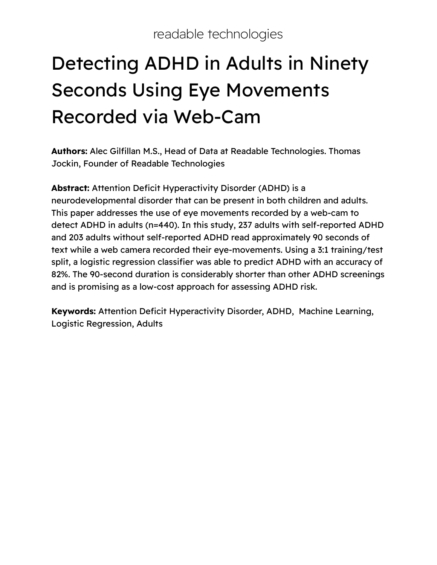# Detecting ADHD in Adults in Ninety Seconds Using Eye Movements Recorded via Web-Cam

**Authors:** Alec Gilfillan M.S., Head of Data at Readable Technologies. Thomas Jockin, Founder of Readable Technologies

**Abstract:** Attention Deficit Hyperactivity Disorder (ADHD) is a neurodevelopmental disorder that can be present in both children and adults. This paper addresses the use of eye movements recorded by a web-cam to detect ADHD in adults (n=440). In this study, 237 adults with self-reported ADHD and 203 adults without self-reported ADHD read approximately 90 seconds of text while a web camera recorded their eye-movements. Using a 3:1 training/test split, a logistic regression classifier was able to predict ADHD with an accuracy of 82%. The 90-second duration is considerably shorter than other ADHD screenings and is promising as a low-cost approach for assessing ADHD risk.

**Keywords:** Attention Deficit Hyperactivity Disorder, ADHD, Machine Learning, Logistic Regression, Adults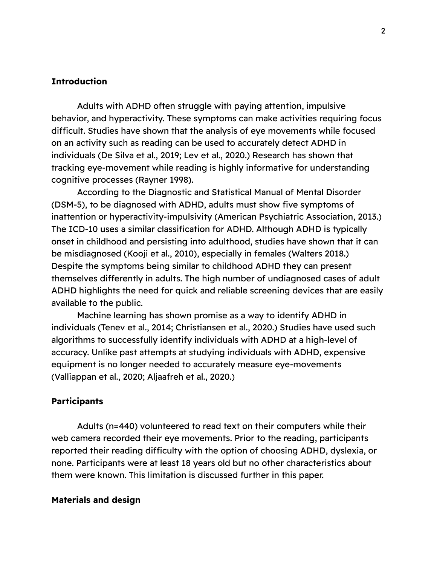#### **Introduction**

Adults with ADHD often struggle with paying attention, impulsive behavior, and hyperactivity. These symptoms can make activities requiring focus difficult. Studies have shown that the analysis of eye movements while focused on an activity such as reading can be used to accurately detect ADHD in individuals (De Silva et al., 2019; Lev et al., 2020.) Research has shown that tracking eye-movement while reading is highly informative for understanding cognitive processes (Rayner 1998).

According to the Diagnostic and Statistical Manual of Mental Disorder (DSM-5), to be diagnosed with ADHD, adults must show five symptoms of inattention or hyperactivity-impulsivity (American Psychiatric Association, 2013.) The ICD-10 uses a similar classification for ADHD. Although ADHD is typically onset in childhood and persisting into adulthood, studies have shown that it can be misdiagnosed (Kooji et al., 2010), especially in females (Walters 2018.) Despite the symptoms being similar to childhood ADHD they can present themselves differently in adults. The high number of undiagnosed cases of adult ADHD highlights the need for quick and reliable screening devices that are easily available to the public.

Machine learning has shown promise as a way to identify ADHD in individuals (Tenev et al., 2014; Christiansen et al., 2020.) Studies have used such algorithms to successfully identify individuals with ADHD at a high-level of accuracy. Unlike past attempts at studying individuals with ADHD, expensive equipment is no longer needed to accurately measure eye-movements (Valliappan et al., 2020; Aljaafreh et al., 2020.)

#### **Participants**

Adults (n=440) volunteered to read text on their computers while their web camera recorded their eye movements. Prior to the reading, participants reported their reading difficulty with the option of choosing ADHD, dyslexia, or none. Participants were at least 18 years old but no other characteristics about them were known. This limitation is discussed further in this paper.

#### **Materials and design**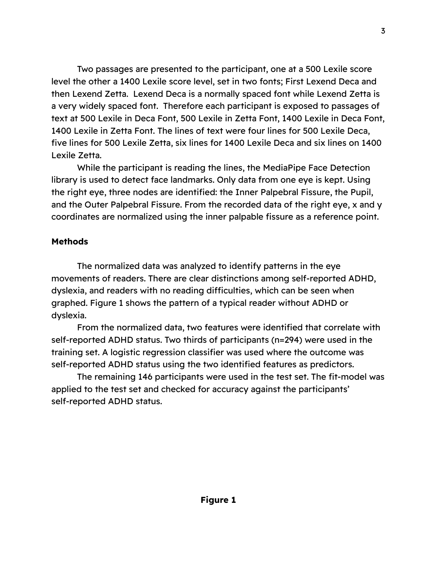Two passages are presented to the participant, one at a 500 Lexile score level the other a 1400 Lexile score level, set in two fonts; First Lexend Deca and then Lexend Zetta. Lexend Deca is a normally spaced font while Lexend Zetta is a very widely spaced font. Therefore each participant is exposed to passages of text at 500 Lexile in Deca Font, 500 Lexile in Zetta Font, 1400 Lexile in Deca Font, 1400 Lexile in Zetta Font. The lines of text were four lines for 500 Lexile Deca, five lines for 500 Lexile Zetta, six lines for 1400 Lexile Deca and six lines on 1400 Lexile Zetta.

While the participant is reading the lines, the MediaPipe Face Detection library is used to detect face landmarks. Only data from one eye is kept. Using the right eye, three nodes are identified: the Inner Palpebral Fissure, the Pupil, and the Outer Palpebral Fissure. From the recorded data of the right eye, x and y coordinates are normalized using the inner palpable fissure as a reference point.

# **Methods**

The normalized data was analyzed to identify patterns in the eye movements of readers. There are clear distinctions among self-reported ADHD, dyslexia, and readers with no reading difficulties, which can be seen when graphed. Figure 1 shows the pattern of a typical reader without ADHD or dyslexia.

From the normalized data, two features were identified that correlate with self-reported ADHD status. Two thirds of participants (n=294) were used in the training set. A logistic regression classifier was used where the outcome was self-reported ADHD status using the two identified features as predictors.

The remaining 146 participants were used in the test set. The fit-model was applied to the test set and checked for accuracy against the participants' self-reported ADHD status.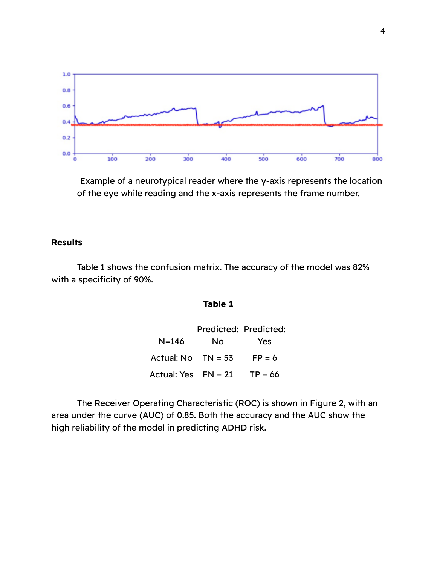

Example of a neurotypical reader where the y-axis represents the location of the eye while reading and the x-axis represents the frame number.

## **Results**

Table 1 shows the confusion matrix. The accuracy of the model was 82% with a specificity of 90%.

### **Table 1**

|                        | Predicted: Predicted: |            |
|------------------------|-----------------------|------------|
| N=146                  | Nο                    | <b>Yes</b> |
| Actual: $No$ $TN = 53$ |                       | $FP = 6$   |
| Actual: Yes $FN = 21$  |                       | $TP = 66$  |

The Receiver Operating Characteristic (ROC) is shown in Figure 2, with an area under the curve (AUC) of 0.85. Both the accuracy and the AUC show the high reliability of the model in predicting ADHD risk.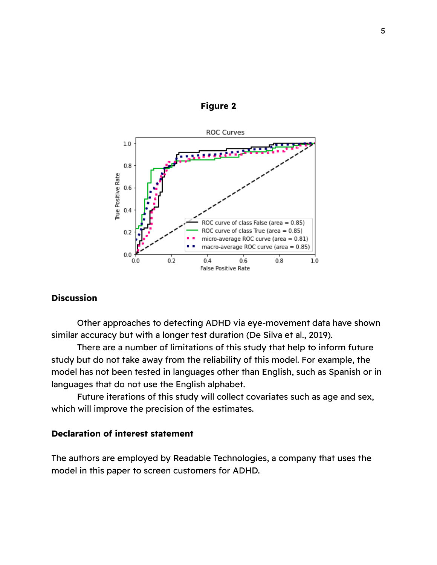

## **Figure 2**

#### **Discussion**

Other approaches to detecting ADHD via eye-movement data have shown similar accuracy but with a longer test duration (De Silva et al., 2019).

There are a number of limitations of this study that help to inform future study but do not take away from the reliability of this model. For example, the model has not been tested in languages other than English, such as Spanish or in languages that do not use the English alphabet.

Future iterations of this study will collect covariates such as age and sex, which will improve the precision of the estimates.

### **Declaration of interest statement**

The authors are employed by Readable Technologies, a company that uses the model in this paper to screen customers for ADHD.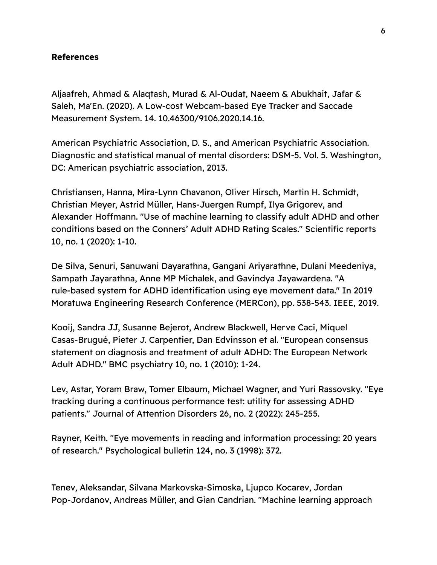#### **References**

Aljaafreh, Ahmad & Alaqtash, Murad & Al-Oudat, Naeem & Abukhait, Jafar & Saleh, Ma'En. (2020). A Low-cost Webcam-based Eye Tracker and Saccade Measurement System. 14. 10.46300/9106.2020.14.16.

American Psychiatric Association, D. S., and American Psychiatric Association. Diagnostic and statistical manual of mental disorders: DSM-5. Vol. 5. Washington, DC: American psychiatric association, 2013.

Christiansen, Hanna, Mira-Lynn Chavanon, Oliver Hirsch, Martin H. Schmidt, Christian Meyer, Astrid Müller, Hans-Juergen Rumpf, Ilya Grigorev, and Alexander Hoffmann. "Use of machine learning to classify adult ADHD and other conditions based on the Conners' Adult ADHD Rating Scales." Scientific reports 10, no. 1 (2020): 1-10.

De Silva, Senuri, Sanuwani Dayarathna, Gangani Ariyarathne, Dulani Meedeniya, Sampath Jayarathna, Anne MP Michalek, and Gavindya Jayawardena. "A rule-based system for ADHD identification using eye movement data." In 2019 Moratuwa Engineering Research Conference (MERCon), pp. 538-543. IEEE, 2019.

Kooij, Sandra JJ, Susanne Bejerot, Andrew Blackwell, Herve Caci, Miquel Casas-Brugué, Pieter J. Carpentier, Dan Edvinsson et al. "European consensus statement on diagnosis and treatment of adult ADHD: The European Network Adult ADHD." BMC psychiatry 10, no. 1 (2010): 1-24.

Lev, Astar, Yoram Braw, Tomer Elbaum, Michael Wagner, and Yuri Rassovsky. "Eye tracking during a continuous performance test: utility for assessing ADHD patients." Journal of Attention Disorders 26, no. 2 (2022): 245-255.

Rayner, Keith. "Eye movements in reading and information processing: 20 years of research." Psychological bulletin 124, no. 3 (1998): 372.

Tenev, Aleksandar, Silvana Markovska-Simoska, Ljupco Kocarev, Jordan Pop-Jordanov, Andreas Müller, and Gian Candrian. "Machine learning approach